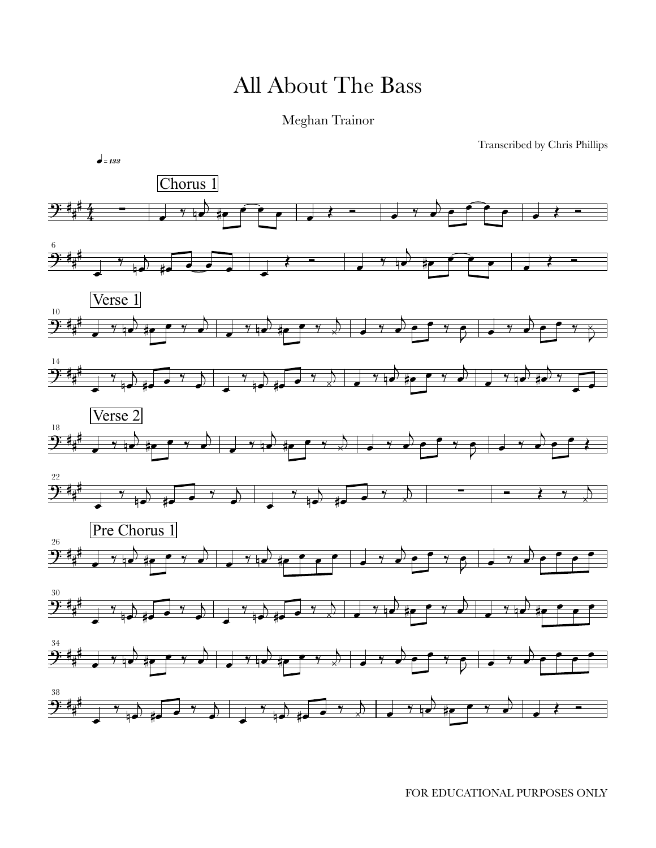## All About The Bass

## Meghan Trainor

Transcribed by Chris Phillips



FOR EDUCATIONAL PURPOSES ONLY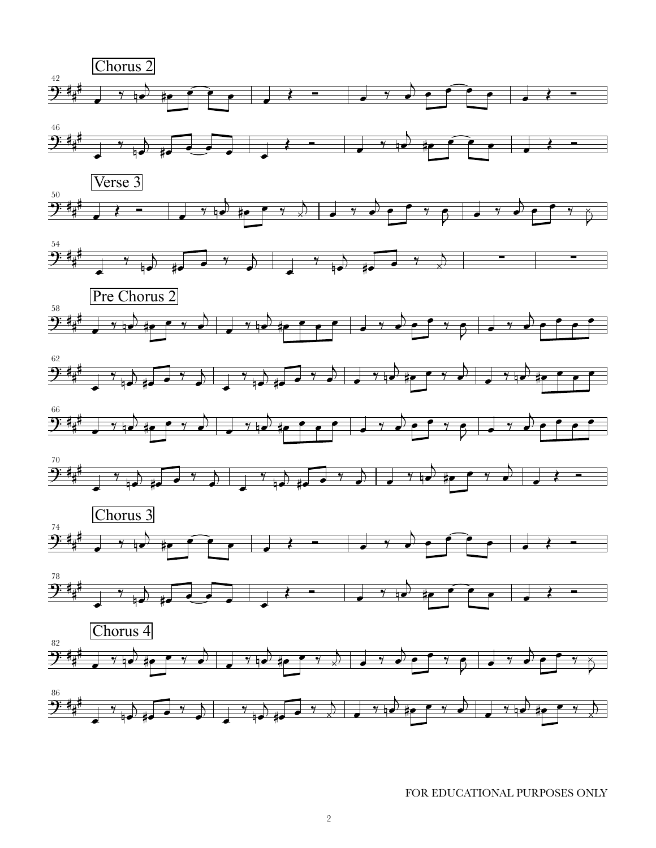

FOR EDUCATIONAL PURPOSES ONLY